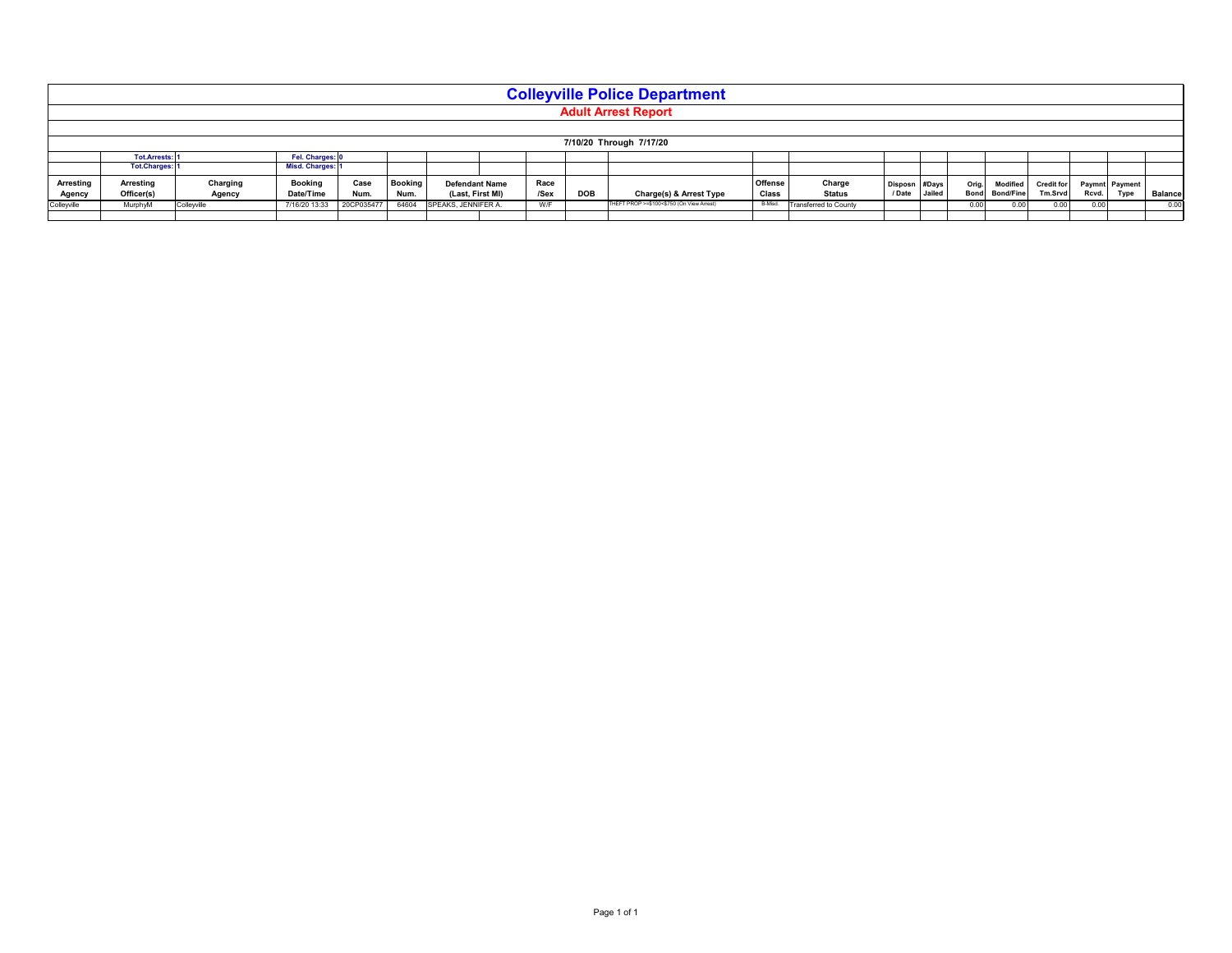|             | <b>Colleyville Police Department</b> |             |                 |            |                |                       |  |      |            |                                           |         |                              |               |        |                                 |                   |                |      |                |
|-------------|--------------------------------------|-------------|-----------------|------------|----------------|-----------------------|--|------|------------|-------------------------------------------|---------|------------------------------|---------------|--------|---------------------------------|-------------------|----------------|------|----------------|
|             | <b>Adult Arrest Report</b>           |             |                 |            |                |                       |  |      |            |                                           |         |                              |               |        |                                 |                   |                |      |                |
|             |                                      |             |                 |            |                |                       |  |      |            |                                           |         |                              |               |        |                                 |                   |                |      |                |
|             | 7/10/20 Through 7/17/20              |             |                 |            |                |                       |  |      |            |                                           |         |                              |               |        |                                 |                   |                |      |                |
|             | <b>Tot.Arrests: 1</b>                |             | Fel. Charges: 0 |            |                |                       |  |      |            |                                           |         |                              |               |        |                                 |                   |                |      |                |
|             | <b>Tot.Charges: 1</b>                |             | Misd. Charges:  |            |                |                       |  |      |            |                                           |         |                              |               |        |                                 |                   |                |      |                |
| Arresting   | Arresting                            | Charging    | <b>Booking</b>  | Case       | <b>Booking</b> | <b>Defendant Name</b> |  | Race |            |                                           | Offense | Charge                       | Disposn #Days |        | Modified<br>Orig.               | <b>Credit for</b> | Paymnt Payment |      |                |
| Agency      | Officer(s)                           | Agency      | Date/Time       | Num.       | Num.           | (Last, First MI)      |  | /Sex | <b>DOB</b> | Charge(s) & Arrest Type                   | Class   | <b>Status</b>                | / Date        | Jailed | <b>Bond/Fine</b><br><b>Bond</b> | Tm.Srvd           | Rcvd.          | Type | <b>Balance</b> |
| Colleyville | MurphyM                              | Colleyville | 7/16/20 13:33   | 20CP035477 | 64604          | SPEAKS, JENNIFER A.   |  | W/F  |            | THEFT PROP >=\$100<\$750 (On View Arrest) | B-Misd. | <b>Transferred to County</b> |               |        | 0.00<br>0.00                    | 0.00              | 0.00           |      | 0.00           |
|             |                                      |             |                 |            |                |                       |  |      |            |                                           |         |                              |               |        |                                 |                   |                |      |                |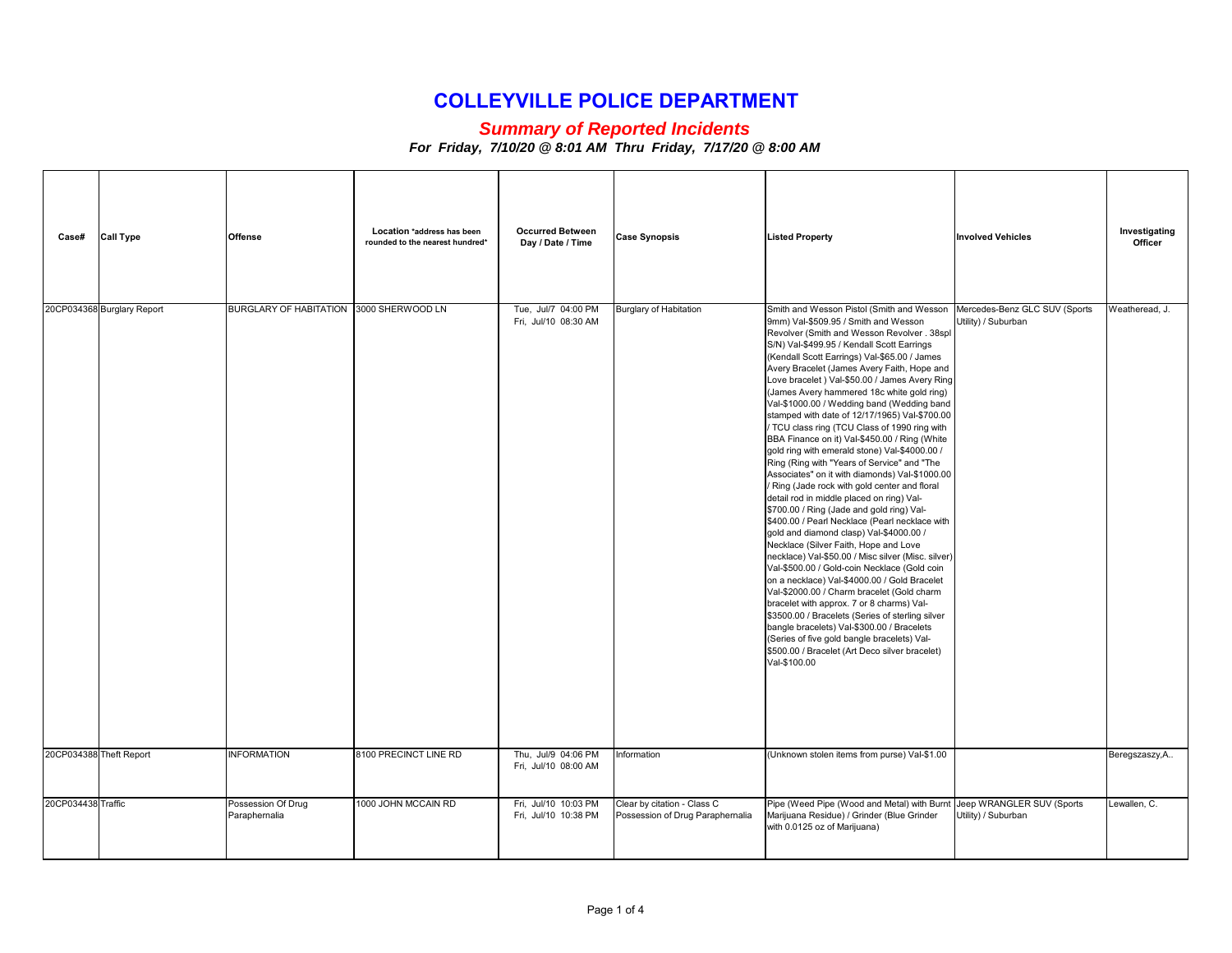## **COLLEYVILLE POLICE DEPARTMENT**

#### *Summary of Reported Incidents*

*For Friday, 7/10/20 @ 8:01 AM Thru Friday, 7/17/20 @ 8:00 AM*

| Case#                   | <b>Call Type</b>           | Offense                                 | Location *address has been<br>rounded to the nearest hundred* | <b>Occurred Between</b><br>Day / Date / Time | <b>Case Synopsis</b>                                            | <b>Listed Property</b>                                                                                                                                                                                                                                                                                                                                                                                                                                                                                                                                                                                                                                                                                                                                                                                                                                                                                                                                                                                                                                                                                                                                                                                                                                                                                                                                                                                                                                                                | <b>Involved Vehicles</b>                             | Investigating<br>Officer |
|-------------------------|----------------------------|-----------------------------------------|---------------------------------------------------------------|----------------------------------------------|-----------------------------------------------------------------|---------------------------------------------------------------------------------------------------------------------------------------------------------------------------------------------------------------------------------------------------------------------------------------------------------------------------------------------------------------------------------------------------------------------------------------------------------------------------------------------------------------------------------------------------------------------------------------------------------------------------------------------------------------------------------------------------------------------------------------------------------------------------------------------------------------------------------------------------------------------------------------------------------------------------------------------------------------------------------------------------------------------------------------------------------------------------------------------------------------------------------------------------------------------------------------------------------------------------------------------------------------------------------------------------------------------------------------------------------------------------------------------------------------------------------------------------------------------------------------|------------------------------------------------------|--------------------------|
|                         | 20CP034368 Burglary Report | BURGLARY OF HABITATION 3000 SHERWOOD LN |                                                               | Tue, Jul/7 04:00 PM<br>Fri. Jul/10 08:30 AM  | Burglary of Habitation                                          | Smith and Wesson Pistol (Smith and Wesson<br>9mm) Val-\$509.95 / Smith and Wesson<br>Revolver (Smith and Wesson Revolver . 38spl<br>S/N) Val-\$499.95 / Kendall Scott Earrings<br>(Kendall Scott Earrings) Val-\$65.00 / James<br>Avery Bracelet (James Avery Faith, Hope and<br>Love bracelet ) Val-\$50.00 / James Avery Ring<br>(James Avery hammered 18c white gold ring)<br>Val-\$1000.00 / Wedding band (Wedding band<br>stamped with date of 12/17/1965) Val-\$700.00<br>/ TCU class ring (TCU Class of 1990 ring with<br>BBA Finance on it) Val-\$450.00 / Ring (White<br>gold ring with emerald stone) Val-\$4000.00 /<br>Ring (Ring with "Years of Service" and "The<br>Associates" on it with diamonds) Val-\$1000.00<br>/ Ring (Jade rock with gold center and floral<br>detail rod in middle placed on ring) Val-<br>\$700.00 / Ring (Jade and gold ring) Val-<br>\$400.00 / Pearl Necklace (Pearl necklace with<br>gold and diamond clasp) Val-\$4000.00 /<br>Necklace (Silver Faith, Hope and Love<br>necklace) Val-\$50.00 / Misc silver (Misc. silver)<br>Val-\$500.00 / Gold-coin Necklace (Gold coin<br>on a necklace) Val-\$4000.00 / Gold Bracelet<br>Val-\$2000.00 / Charm bracelet (Gold charm<br>bracelet with approx. 7 or 8 charms) Val-<br>\$3500.00 / Bracelets (Series of sterling silver<br>bangle bracelets) Val-\$300.00 / Bracelets<br>(Series of five gold bangle bracelets) Val-<br>\$500.00 / Bracelet (Art Deco silver bracelet)<br>Val-\$100.00 | Mercedes-Benz GLC SUV (Sports<br>Utility) / Suburban | Weatheread, J.           |
| 20CP034388 Theft Report |                            | <b>INFORMATION</b>                      | 8100 PRECINCT LINE RD                                         | Thu, Jul/9 04:06 PM<br>Fri, Jul/10 08:00 AM  | Information                                                     | (Unknown stolen items from purse) Val-\$1.00                                                                                                                                                                                                                                                                                                                                                                                                                                                                                                                                                                                                                                                                                                                                                                                                                                                                                                                                                                                                                                                                                                                                                                                                                                                                                                                                                                                                                                          |                                                      | Beregszaszy, A           |
| 20CP034438 Traffic      |                            | Possession Of Drug<br>Paraphernalia     | 1000 JOHN MCCAIN RD                                           | Fri, Jul/10 10:03 PM<br>Fri, Jul/10 10:38 PM | Clear by citation - Class C<br>Possession of Drug Paraphernalia | Pipe (Weed Pipe (Wood and Metal) with Burnt<br>Marijuana Residue) / Grinder (Blue Grinder<br>with 0.0125 oz of Marijuana)                                                                                                                                                                                                                                                                                                                                                                                                                                                                                                                                                                                                                                                                                                                                                                                                                                                                                                                                                                                                                                                                                                                                                                                                                                                                                                                                                             | Jeep WRANGLER SUV (Sports<br>Utility) / Suburban     | Lewallen, C.             |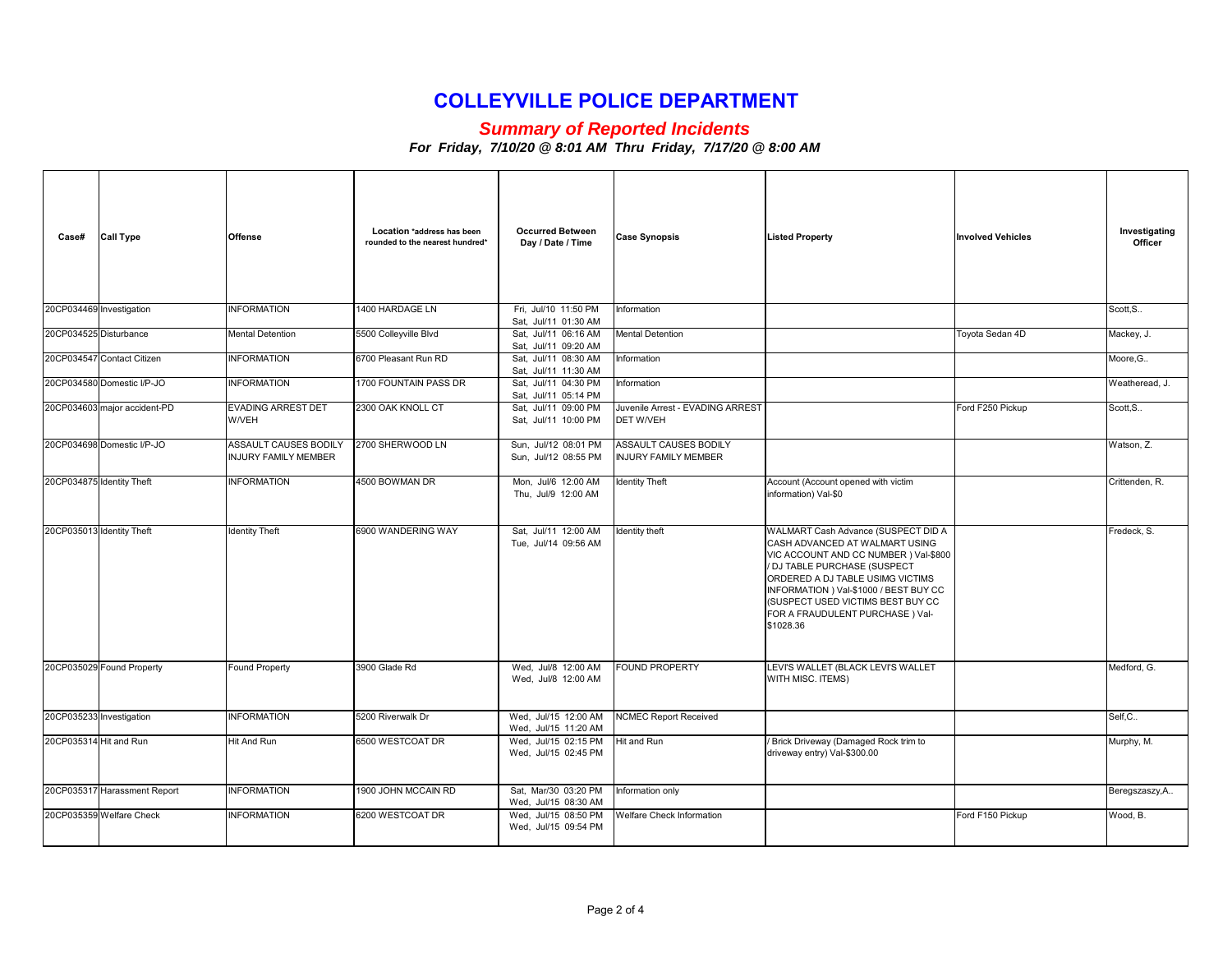## **COLLEYVILLE POLICE DEPARTMENT**

#### *Summary of Reported Incidents*

*For Friday, 7/10/20 @ 8:01 AM Thru Friday, 7/17/20 @ 8:00 AM*

| Case#                     | <b>Call Type</b>             | <b>Offense</b>                                       | Location *address has been<br>rounded to the nearest hundred* | <b>Occurred Between</b><br>Day / Date / Time | <b>Case Synopsis</b>                                 | <b>Listed Property</b>                                                                                                                                                                                                                                                                                             | <b>Involved Vehicles</b> | Investigating<br>Officer |
|---------------------------|------------------------------|------------------------------------------------------|---------------------------------------------------------------|----------------------------------------------|------------------------------------------------------|--------------------------------------------------------------------------------------------------------------------------------------------------------------------------------------------------------------------------------------------------------------------------------------------------------------------|--------------------------|--------------------------|
| 20CP034469 Investigation  |                              | <b>INFORMATION</b>                                   | 1400 HARDAGE LN                                               | Fri, Jul/10 11:50 PM<br>Sat, Jul/11 01:30 AM | Information                                          |                                                                                                                                                                                                                                                                                                                    |                          | Scott.S                  |
| 20CP034525 Disturbance    |                              | <b>Mental Detention</b>                              | 5500 Colleyville Blvd                                         | Sat, Jul/11 06:16 AM<br>Sat, Jul/11 09:20 AM | Mental Detention                                     |                                                                                                                                                                                                                                                                                                                    | Toyota Sedan 4D          | Mackey, J.               |
|                           | 20CP034547 Contact Citizen   | <b>INFORMATION</b>                                   | 6700 Pleasant Run RD                                          | Sat, Jul/11 08:30 AM<br>Sat, Jul/11 11:30 AM | Information                                          |                                                                                                                                                                                                                                                                                                                    |                          | Moore, G                 |
|                           | 20CP034580 Domestic I/P-JO   | <b>INFORMATION</b>                                   | 1700 FOUNTAIN PASS DR                                         | Sat, Jul/11 04:30 PM<br>Sat, Jul/11 05:14 PM | Information                                          |                                                                                                                                                                                                                                                                                                                    |                          | Weatheread, J.           |
|                           | 20CP034603 major accident-PD | <b>EVADING ARREST DET</b><br><b>WNEH</b>             | 2300 OAK KNOLL CT                                             | Sat. Jul/11 09:00 PM<br>Sat, Jul/11 10:00 PM | Juvenile Arrest - EVADING ARREST<br><b>DET W/VEH</b> |                                                                                                                                                                                                                                                                                                                    | Ford F250 Pickup         | Scott.S                  |
|                           | 20CP034698 Domestic I/P-JO   | ASSAULT CAUSES BODILY<br><b>INJURY FAMILY MEMBER</b> | 2700 SHERWOOD LN                                              | Sun, Jul/12 08:01 PM<br>Sun, Jul/12 08:55 PM | ASSAULT CAUSES BODILY<br><b>INJURY FAMILY MEMBER</b> |                                                                                                                                                                                                                                                                                                                    |                          | Watson, Z.               |
| 20CP034875 Identity Theft |                              | <b>INFORMATION</b>                                   | 4500 BOWMAN DR                                                | Mon, Jul/6 12:00 AM<br>Thu, Jul/9 12:00 AM   | <b>Identity Theft</b>                                | Account (Account opened with victim<br>information) Val-\$0                                                                                                                                                                                                                                                        |                          | Crittenden, R.           |
| 20CP035013 Identity Theft |                              | <b>Identity Theft</b>                                | 6900 WANDERING WAY                                            | Sat, Jul/11 12:00 AM<br>Tue, Jul/14 09:56 AM | Identity theft                                       | WALMART Cash Advance (SUSPECT DID A<br>CASH ADVANCED AT WALMART USING<br>VIC ACCOUNT AND CC NUMBER ) Val-\$800<br>/ DJ TABLE PURCHASE (SUSPECT<br>ORDERED A DJ TABLE USIMG VICTIMS<br>INFORMATION ) Val-\$1000 / BEST BUY CC<br>(SUSPECT USED VICTIMS BEST BUY CC<br>FOR A FRAUDULENT PURCHASE ) Val-<br>\$1028.36 |                          | Fredeck, S.              |
|                           | 20CP035029 Found Property    | Found Property                                       | 3900 Glade Rd                                                 | Wed, Jul/8 12:00 AM<br>Wed, Jul/8 12:00 AM   | FOUND PROPERTY                                       | LEVI'S WALLET (BLACK LEVI'S WALLET<br>WITH MISC. ITEMS)                                                                                                                                                                                                                                                            |                          | Medford, G.              |
| 20CP035233 Investigation  |                              | <b>INFORMATION</b>                                   | 5200 Riverwalk Dr                                             | Wed. Jul/15 12:00 AM<br>Wed, Jul/15 11:20 AM | <b>NCMEC Report Received</b>                         |                                                                                                                                                                                                                                                                                                                    |                          | Self,C                   |
| 20CP035314 Hit and Run    |                              | <b>Hit And Run</b>                                   | 6500 WESTCOAT DR                                              | Wed, Jul/15 02:15 PM<br>Wed, Jul/15 02:45 PM | Hit and Run                                          | Brick Driveway (Damaged Rock trim to<br>driveway entry) Val-\$300.00                                                                                                                                                                                                                                               |                          | Murphy, M.               |
|                           | 20CP035317 Harassment Report | <b>INFORMATION</b>                                   | 1900 JOHN MCCAIN RD                                           | Sat, Mar/30 03:20 PM<br>Wed, Jul/15 08:30 AM | Information only                                     |                                                                                                                                                                                                                                                                                                                    |                          | Beregszaszy, A           |
|                           | 20CP035359 Welfare Check     | <b>INFORMATION</b>                                   | 6200 WESTCOAT DR                                              | Wed, Jul/15 08:50 PM<br>Wed, Jul/15 09:54 PM | Welfare Check Information                            |                                                                                                                                                                                                                                                                                                                    | Ford F150 Pickup         | Wood, B.                 |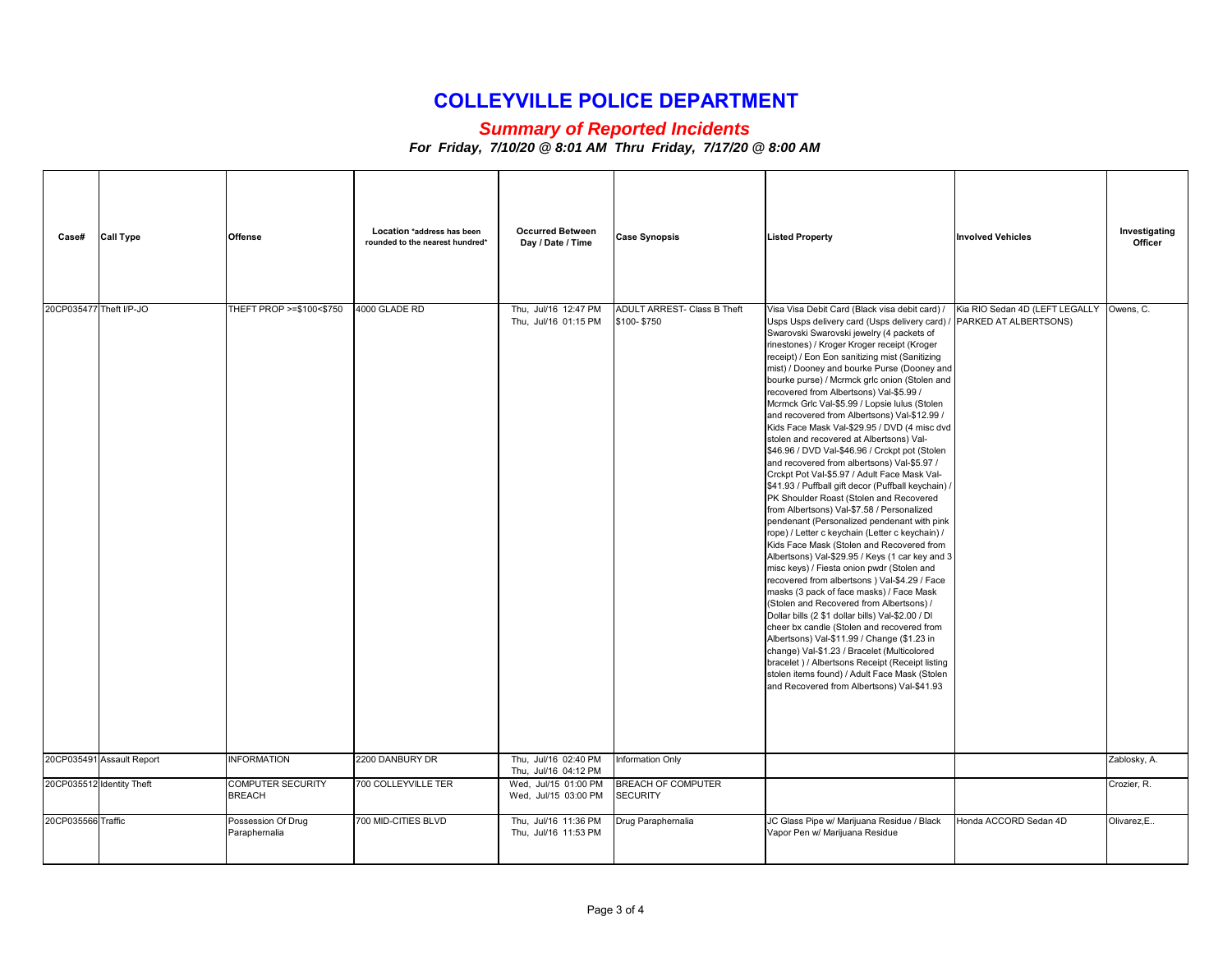## **COLLEYVILLE POLICE DEPARTMENT**

#### *Summary of Reported Incidents*

*For Friday, 7/10/20 @ 8:01 AM Thru Friday, 7/17/20 @ 8:00 AM*

| Case#                   | <b>Call Type</b>          | Offense                                   | Location *address has been<br>rounded to the nearest hundred* | <b>Occurred Between</b><br>Day / Date / Time | <b>Case Synopsis</b>                         | <b>Listed Property</b>                                                                                                                                                                                                                                                                                                                                                                                                                                                                                                                                                                                                                                                                                                                                                                                                                                                                                                                                                                                                                                                                                                                                                                                                                                                                                                                                                                                                                                                                                                                                                                                                                                     | <b>Involved Vehicles</b>       | Investigating<br>Officer |
|-------------------------|---------------------------|-------------------------------------------|---------------------------------------------------------------|----------------------------------------------|----------------------------------------------|------------------------------------------------------------------------------------------------------------------------------------------------------------------------------------------------------------------------------------------------------------------------------------------------------------------------------------------------------------------------------------------------------------------------------------------------------------------------------------------------------------------------------------------------------------------------------------------------------------------------------------------------------------------------------------------------------------------------------------------------------------------------------------------------------------------------------------------------------------------------------------------------------------------------------------------------------------------------------------------------------------------------------------------------------------------------------------------------------------------------------------------------------------------------------------------------------------------------------------------------------------------------------------------------------------------------------------------------------------------------------------------------------------------------------------------------------------------------------------------------------------------------------------------------------------------------------------------------------------------------------------------------------------|--------------------------------|--------------------------|
| 20CP035477 Theft I/P-JO |                           | THEFT PROP >=\$100<\$750                  | 4000 GLADE RD                                                 | Thu, Jul/16 12:47 PM<br>Thu, Jul/16 01:15 PM | ADULT ARREST- Class B Theft<br>\$100-\$750   | Visa Visa Debit Card (Black visa debit card) /<br>Usps Usps delivery card (Usps delivery card) / PARKED AT ALBERTSONS)<br>Swarovski Swarovski jewelry (4 packets of<br>rinestones) / Kroger Kroger receipt (Kroger<br>receipt) / Eon Eon sanitizing mist (Sanitizing<br>mist) / Dooney and bourke Purse (Dooney and<br>bourke purse) / Mcrmck grlc onion (Stolen and<br>recovered from Albertsons) Val-\$5.99 /<br>Mcrmck Grlc Val-\$5.99 / Lopsie Iulus (Stolen<br>and recovered from Albertsons) Val-\$12.99 /<br>Kids Face Mask Val-\$29.95 / DVD (4 misc dvd<br>stolen and recovered at Albertsons) Val-<br>\$46.96 / DVD Val-\$46.96 / Crckpt pot (Stolen<br>and recovered from albertsons) Val-\$5.97 /<br>Crckpt Pot Val-\$5.97 / Adult Face Mask Val-<br>\$41.93 / Puffball gift decor (Puffball keychain) /<br>PK Shoulder Roast (Stolen and Recovered<br>from Albertsons) Val-\$7.58 / Personalized<br>pendenant (Personalized pendenant with pink<br>rope) / Letter c keychain (Letter c keychain) /<br>Kids Face Mask (Stolen and Recovered from<br>Albertsons) Val-\$29.95 / Keys (1 car key and 3<br>misc keys) / Fiesta onion pwdr (Stolen and<br>recovered from albertsons ) Val-\$4.29 / Face<br>masks (3 pack of face masks) / Face Mask<br>(Stolen and Recovered from Albertsons) /<br>Dollar bills (2 \$1 dollar bills) Val-\$2.00 / DI<br>cheer bx candle (Stolen and recovered from<br>Albertsons) Val-\$11.99 / Change (\$1.23 in<br>change) Val-\$1.23 / Bracelet (Multicolored<br>bracelet ) / Albertsons Receipt (Receipt listing<br>stolen items found) / Adult Face Mask (Stolen<br>and Recovered from Albertsons) Val-\$41.93 | Kia RIO Sedan 4D (LEFT LEGALLY | Owens, C.                |
|                         | 20CP035491 Assault Report | <b>INFORMATION</b>                        | 2200 DANBURY DR                                               | Thu, Jul/16 02:40 PM<br>Thu, Jul/16 04:12 PM | Information Only                             |                                                                                                                                                                                                                                                                                                                                                                                                                                                                                                                                                                                                                                                                                                                                                                                                                                                                                                                                                                                                                                                                                                                                                                                                                                                                                                                                                                                                                                                                                                                                                                                                                                                            |                                | Zablosky, A.             |
|                         | 20CP035512 Identity Theft | <b>COMPUTER SECURITY</b><br><b>BREACH</b> | 700 COLLEYVILLE TER                                           | Wed, Jul/15 01:00 PM<br>Wed, Jul/15 03:00 PM | <b>BREACH OF COMPUTER</b><br><b>SECURITY</b> |                                                                                                                                                                                                                                                                                                                                                                                                                                                                                                                                                                                                                                                                                                                                                                                                                                                                                                                                                                                                                                                                                                                                                                                                                                                                                                                                                                                                                                                                                                                                                                                                                                                            |                                | Crozier, R.              |
| 20CP035566 Traffic      |                           | Possession Of Drug<br>Paraphernalia       | 700 MID-CITIES BLVD                                           | Thu, Jul/16 11:36 PM<br>Thu, Jul/16 11:53 PM | Drug Paraphernalia                           | JC Glass Pipe w/ Marijuana Residue / Black<br>Vapor Pen w/ Marijuana Residue                                                                                                                                                                                                                                                                                                                                                                                                                                                                                                                                                                                                                                                                                                                                                                                                                                                                                                                                                                                                                                                                                                                                                                                                                                                                                                                                                                                                                                                                                                                                                                               | Honda ACCORD Sedan 4D          | Olivarez.E               |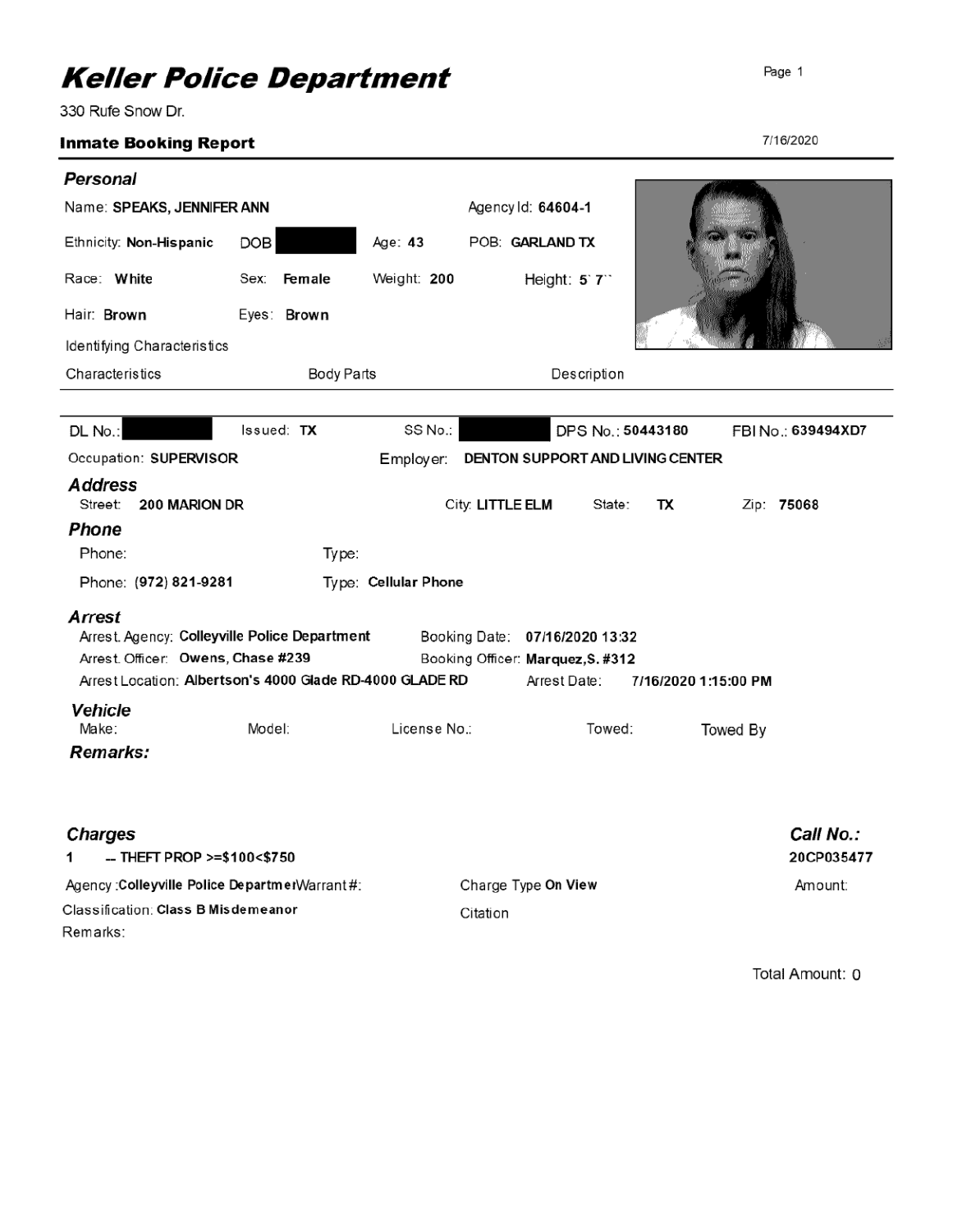# **Keller Police Department**

330 Rufe Snow Dr.

### **Inmate Booking Report**

|  | 7/16/2020 |
|--|-----------|
|  |           |

| Personal                                                                                                                                                 |                   |                      |                                                                                     |                   |                      |
|----------------------------------------------------------------------------------------------------------------------------------------------------------|-------------------|----------------------|-------------------------------------------------------------------------------------|-------------------|----------------------|
| Name: SPEAKS, JENNIFER ANN                                                                                                                               |                   |                      | Agency Id: 64604-1                                                                  |                   |                      |
| Ethnicity: Non-Hispanic                                                                                                                                  | <b>DOB</b>        | Age: 43              | POB: GARLAND TX                                                                     |                   |                      |
| Race: White                                                                                                                                              | Sex: Female       | Weight: 200          | Height: $5'7''$                                                                     |                   |                      |
| Hair: Brown                                                                                                                                              | Eyes: Brown       |                      |                                                                                     |                   |                      |
| Identifying Characteristics                                                                                                                              |                   |                      |                                                                                     |                   |                      |
| Characteristics                                                                                                                                          | <b>Body Parts</b> |                      |                                                                                     | Description       |                      |
|                                                                                                                                                          |                   |                      |                                                                                     |                   |                      |
| DL No.:                                                                                                                                                  | Issued: TX        | SS No.:              |                                                                                     | DPS No.: 50443180 | FBI No: 639494XD7    |
| Occupation: SUPERVISOR                                                                                                                                   |                   |                      | Employer: DENTON SUPPORT AND LIVING CENTER                                          |                   |                      |
| <b>Address</b><br><b>Street:</b><br>200 MARION DR                                                                                                        |                   |                      | City: LITTLE ELM                                                                    | State:<br>TX      | Zip: 75068           |
| <b>Phone</b>                                                                                                                                             |                   |                      |                                                                                     |                   |                      |
| Phone:                                                                                                                                                   | Type:             |                      |                                                                                     |                   |                      |
| Phone: (972) 821-9281                                                                                                                                    |                   | Type: Cellular Phone |                                                                                     |                   |                      |
| Arrest<br>Arrest. Agency: Colleyville Police Department<br>Arrest Officer: Owens, Chase #239<br>Arrest Location: Albertson's 4000 Glade RD-4000 GLADE RD |                   |                      | Booking Date: 07/16/2020 13:32<br>Booking Officer: Marquez, S. #312<br>Arrest Date: |                   | 7/16/2020 1:15:00 PM |
| <b>Vehicle</b><br>Make:                                                                                                                                  | Model:            | License No.:         |                                                                                     | Towed:            | Towed By             |
| <b>Remarks:</b>                                                                                                                                          |                   |                      |                                                                                     |                   |                      |
| <b>Charges</b>                                                                                                                                           |                   |                      |                                                                                     |                   | Call No.:            |
| - THEFT PROP >=\$100<\$750<br>1                                                                                                                          |                   |                      |                                                                                     |                   | 20CP035477           |
| Agency: Colleyville Police DepartmerWarrant#:                                                                                                            |                   |                      | Charge Type On View                                                                 |                   | Amount:              |
| Classification: Class B Misdemeanor<br>Remarks:                                                                                                          |                   |                      | Citation                                                                            |                   |                      |

Total Amount: 0